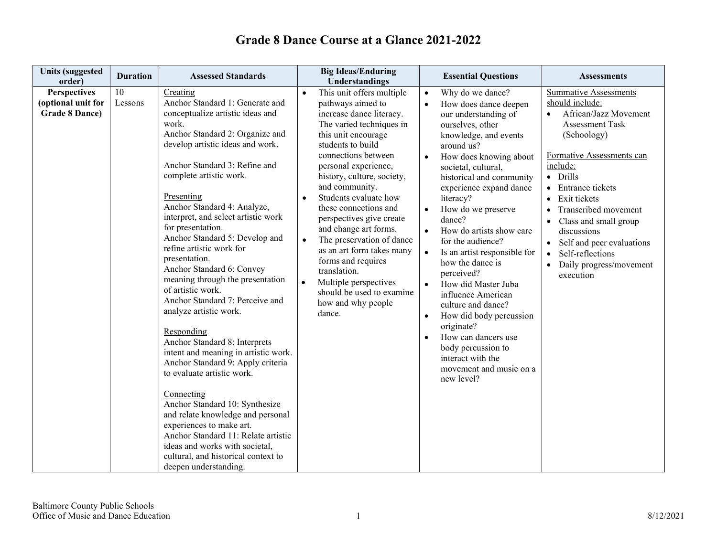#### **Units (suggested order) Duration Assessed Standards Big Ideas/Enduring order) Duration Assessed Standards Big Ideas/Enduring by IDENET EXAMPLE EXAMPLE 2018 IDENTIFY ASSESSMENTS**<br> **Exsential Questions** Assessments **Perspectives (optional unit for Grade 8 Dance)** 10 Lessons Creating Anchor Standard 1: Generate and conceptualize artistic ideas and work. Anchor Standard 2: Organize and develop artistic ideas and work. Anchor Standard 3: Refine and complete artistic work. Presenting Anchor Standard 4: Analyze, interpret, and select artistic work for presentation. Anchor Standard 5: Develop and refine artistic work for presentation. Anchor Standard 6: Convey meaning through the presentation of artistic work. Anchor Standard 7: Perceive and analyze artistic work. Responding Anchor Standard 8: Interprets intent and meaning in artistic work. Anchor Standard 9: Apply criteria to evaluate artistic work. Connecting Anchor Standard 10: Synthesize and relate knowledge and personal experiences to make art. Anchor Standard 11: Relate artistic ideas and works with societal, cultural, and historical context to deepen understanding. This unit offers multiple pathways aimed to increase dance literacy. The varied techniques in this unit encourage students to build connections between personal experience, history, culture, society, and community. • Students evaluate how these connections and perspectives give create and change art forms. • The preservation of dance as an art form takes many forms and requires translation. • Multiple perspectives should be used to examine how and why people dance. • Why do we dance? • How does dance deepen our understanding of ourselves, other knowledge, and events around us? • How does knowing about societal, cultural, historical and community experience expand dance literacy? • How do we preserve dance? • How do artists show care for the audience? • Is an artist responsible for how the dance is perceived? • How did Master Juba influence American culture and dance? • How did body percussion originate? • How can dancers use body percussion to interact with the movement and music on a new level? Summative Assessments should include: • African/Jazz Movement Assessment Task (Schoology) Formative Assessments can include: • Drills • Entrance tickets • Exit tickets • Transcribed movement • Class and small group discussions • Self and peer evaluations • Self-reflections • Daily progress/movement execution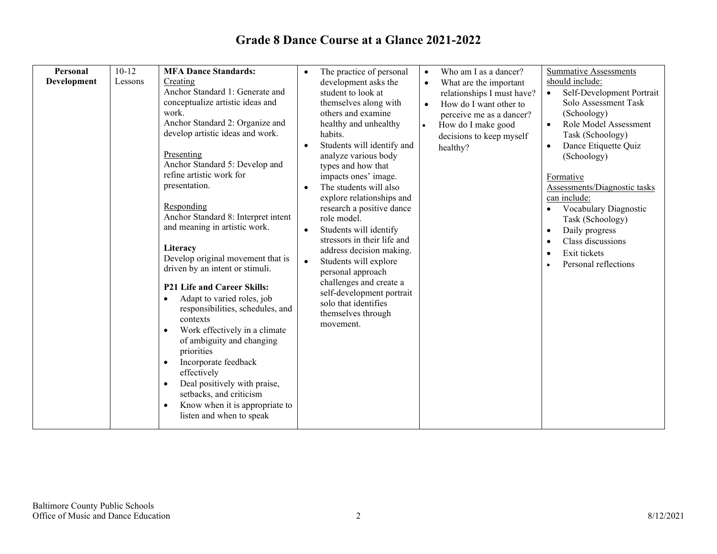| Personal    | $10-12$ | <b>MFA Dance Standards:</b>                                                                                                                                                                                                                                                                                                                                                                                                                                                                                                                                                                                                                                                                                                                                                                                                                                      | $\bullet$                                        |                                                                                                                                                                                                                                                                                                                                                                                                                                                                                                                                                                                                                        | $\bullet$                           |                                                                                                                                                                                                   |                                                               |                                                                                                                                                                                                                                                                                                                                                                                                  |
|-------------|---------|------------------------------------------------------------------------------------------------------------------------------------------------------------------------------------------------------------------------------------------------------------------------------------------------------------------------------------------------------------------------------------------------------------------------------------------------------------------------------------------------------------------------------------------------------------------------------------------------------------------------------------------------------------------------------------------------------------------------------------------------------------------------------------------------------------------------------------------------------------------|--------------------------------------------------|------------------------------------------------------------------------------------------------------------------------------------------------------------------------------------------------------------------------------------------------------------------------------------------------------------------------------------------------------------------------------------------------------------------------------------------------------------------------------------------------------------------------------------------------------------------------------------------------------------------------|-------------------------------------|---------------------------------------------------------------------------------------------------------------------------------------------------------------------------------------------------|---------------------------------------------------------------|--------------------------------------------------------------------------------------------------------------------------------------------------------------------------------------------------------------------------------------------------------------------------------------------------------------------------------------------------------------------------------------------------|
| Development | Lessons | Creating<br>Anchor Standard 1: Generate and<br>conceptualize artistic ideas and<br>work.<br>Anchor Standard 2: Organize and<br>develop artistic ideas and work.<br>Presenting<br>Anchor Standard 5: Develop and<br>refine artistic work for<br>presentation.<br>Responding<br>Anchor Standard 8: Interpret intent<br>and meaning in artistic work.<br>Literacy<br>Develop original movement that is<br>driven by an intent or stimuli.<br>P21 Life and Career Skills:<br>Adapt to varied roles, job<br>$\bullet$<br>responsibilities, schedules, and<br>contexts<br>Work effectively in a climate<br>$\bullet$<br>of ambiguity and changing<br>priorities<br>Incorporate feedback<br>$\bullet$<br>effectively<br>Deal positively with praise,<br>$\bullet$<br>setbacks, and criticism<br>Know when it is appropriate to<br>$\bullet$<br>listen and when to speak | $\bullet$<br>$\bullet$<br>$\bullet$<br>$\bullet$ | The practice of personal<br>development asks the<br>student to look at<br>themselves along with<br>others and examine<br>healthy and unhealthy<br>habits.<br>Students will identify and<br>analyze various body<br>types and how that<br>impacts ones' image.<br>The students will also<br>explore relationships and<br>research a positive dance<br>role model.<br>Students will identify<br>stressors in their life and<br>address decision making.<br>Students will explore<br>personal approach<br>challenges and create a<br>self-development portrait<br>solo that identifies<br>themselves through<br>movement. | $\bullet$<br>$\bullet$<br>$\bullet$ | Who am I as a dancer?<br>What are the important<br>relationships I must have?<br>How do I want other to<br>perceive me as a dancer?<br>How do I make good<br>decisions to keep myself<br>healthy? | $\bullet$<br>$\bullet$<br>$\bullet$<br>$\bullet$<br>$\bullet$ | <b>Summative Assessments</b><br>should include:<br>Self-Development Portrait<br>Solo Assessment Task<br>(Schoology)<br>Role Model Assessment<br>Task (Schoology)<br>Dance Etiquette Quiz<br>(Schoology)<br>Formative<br>Assessments/Diagnostic tasks<br>can include:<br>Vocabulary Diagnostic<br>Task (Schoology)<br>Daily progress<br>Class discussions<br>Exit tickets<br>Personal reflections |
|             |         |                                                                                                                                                                                                                                                                                                                                                                                                                                                                                                                                                                                                                                                                                                                                                                                                                                                                  |                                                  |                                                                                                                                                                                                                                                                                                                                                                                                                                                                                                                                                                                                                        |                                     |                                                                                                                                                                                                   |                                                               |                                                                                                                                                                                                                                                                                                                                                                                                  |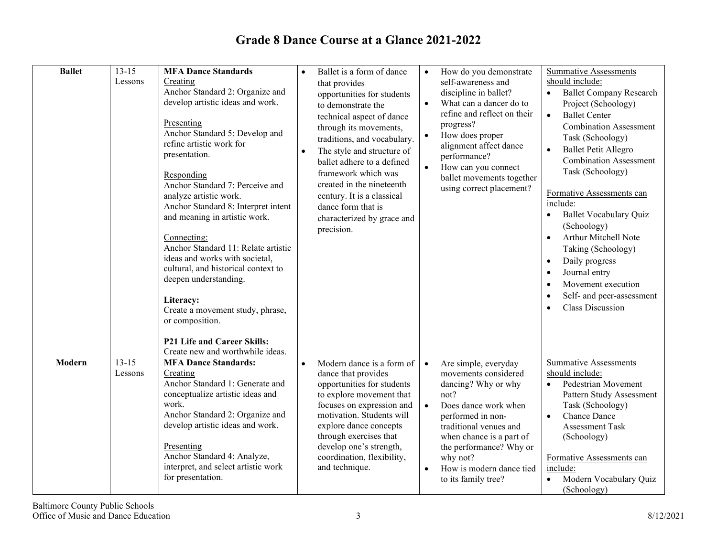| <b>Ballet</b> | $13 - 15$            | <b>MFA Dance Standards</b>                                                                                                                                                                                                                                                                                                                                                                                                                                                                                                                                                                 | $\bullet$ | Ballet is a form of dance                                                                                                                                                                                                                                                                                                                                               | $\bullet$                           | How do you demonstrate                                                                                                                                                                                                                                                   | <b>Summative Assessments</b>                                                                                                                                                                                                                                                                                                                                                                                                                                                                                                                                       |
|---------------|----------------------|--------------------------------------------------------------------------------------------------------------------------------------------------------------------------------------------------------------------------------------------------------------------------------------------------------------------------------------------------------------------------------------------------------------------------------------------------------------------------------------------------------------------------------------------------------------------------------------------|-----------|-------------------------------------------------------------------------------------------------------------------------------------------------------------------------------------------------------------------------------------------------------------------------------------------------------------------------------------------------------------------------|-------------------------------------|--------------------------------------------------------------------------------------------------------------------------------------------------------------------------------------------------------------------------------------------------------------------------|--------------------------------------------------------------------------------------------------------------------------------------------------------------------------------------------------------------------------------------------------------------------------------------------------------------------------------------------------------------------------------------------------------------------------------------------------------------------------------------------------------------------------------------------------------------------|
|               | Lessons              | Creating<br>Anchor Standard 2: Organize and<br>develop artistic ideas and work.<br>Presenting<br>Anchor Standard 5: Develop and<br>refine artistic work for<br>presentation.<br>Responding<br>Anchor Standard 7: Perceive and<br>analyze artistic work.<br>Anchor Standard 8: Interpret intent<br>and meaning in artistic work.<br>Connecting:<br>Anchor Standard 11: Relate artistic<br>ideas and works with societal,<br>cultural, and historical context to<br>deepen understanding.<br>Literacy:<br>Create a movement study, phrase,<br>or composition.<br>P21 Life and Career Skills: |           | that provides<br>opportunities for students<br>to demonstrate the<br>technical aspect of dance<br>through its movements,<br>traditions, and vocabulary.<br>The style and structure of<br>ballet adhere to a defined<br>framework which was<br>created in the nineteenth<br>century. It is a classical<br>dance form that is<br>characterized by grace and<br>precision. | $\bullet$<br>$\bullet$              | self-awareness and<br>discipline in ballet?<br>What can a dancer do to<br>refine and reflect on their<br>progress?<br>How does proper<br>alignment affect dance<br>performance?<br>How can you connect<br>ballet movements together<br>using correct placement?          | should include:<br><b>Ballet Company Research</b><br>Project (Schoology)<br><b>Ballet Center</b><br>$\bullet$<br><b>Combination Assessment</b><br>Task (Schoology)<br><b>Ballet Petit Allegro</b><br>$\bullet$<br><b>Combination Assessment</b><br>Task (Schoology)<br>Formative Assessments can<br>include:<br><b>Ballet Vocabulary Quiz</b><br>(Schoology)<br>Arthur Mitchell Note<br>$\bullet$<br>Taking (Schoology)<br>Daily progress<br>$\bullet$<br>Journal entry<br>$\bullet$<br>Movement execution<br>Self- and peer-assessment<br><b>Class Discussion</b> |
|               |                      | Create new and worthwhile ideas.                                                                                                                                                                                                                                                                                                                                                                                                                                                                                                                                                           |           |                                                                                                                                                                                                                                                                                                                                                                         |                                     |                                                                                                                                                                                                                                                                          |                                                                                                                                                                                                                                                                                                                                                                                                                                                                                                                                                                    |
| Modern        | $13 - 15$<br>Lessons | <b>MFA Dance Standards:</b><br>Creating<br>Anchor Standard 1: Generate and<br>conceptualize artistic ideas and<br>work.<br>Anchor Standard 2: Organize and<br>develop artistic ideas and work.<br>Presenting<br>Anchor Standard 4: Analyze,<br>interpret, and select artistic work<br>for presentation.                                                                                                                                                                                                                                                                                    | $\bullet$ | Modern dance is a form of<br>dance that provides<br>opportunities for students<br>to explore movement that<br>focuses on expression and<br>motivation. Students will<br>explore dance concepts<br>through exercises that<br>develop one's strength,<br>coordination, flexibility,<br>and technique.                                                                     | $\bullet$<br>$\bullet$<br>$\bullet$ | Are simple, everyday<br>movements considered<br>dancing? Why or why<br>not?<br>Does dance work when<br>performed in non-<br>traditional venues and<br>when chance is a part of<br>the performance? Why or<br>why not?<br>How is modern dance tied<br>to its family tree? | <b>Summative Assessments</b><br>should include:<br>Pedestrian Movement<br>Pattern Study Assessment<br>Task (Schoology)<br><b>Chance Dance</b><br><b>Assessment Task</b><br>(Schoology)<br>Formative Assessments can<br>include:<br>Modern Vocabulary Quiz<br>(Schoology)                                                                                                                                                                                                                                                                                           |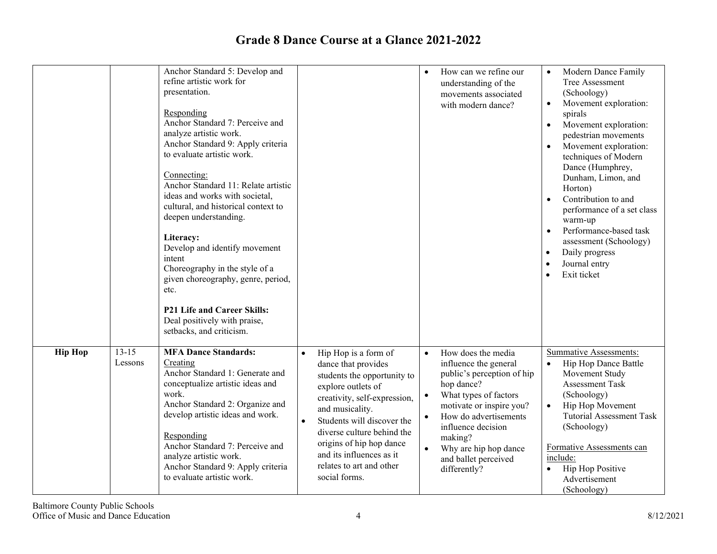|                |                      | Anchor Standard 5: Develop and<br>refine artistic work for<br>presentation.<br>Responding<br>Anchor Standard 7: Perceive and<br>analyze artistic work.<br>Anchor Standard 9: Apply criteria<br>to evaluate artistic work.<br>Connecting:<br>Anchor Standard 11: Relate artistic<br>ideas and works with societal,<br>cultural, and historical context to<br>deepen understanding.<br>Literacy:<br>Develop and identify movement<br>intent<br>Choreography in the style of a<br>given choreography, genre, period,<br>etc.<br>P21 Life and Career Skills:<br>Deal positively with praise,<br>setbacks, and criticism. |                                                                                                                                                                                                                                                                                                                                                | $\bullet$                           | How can we refine our<br>understanding of the<br>movements associated<br>with modern dance?                                                                                                                                                                             | Modern Dance Family<br>Tree Assessment<br>(Schoology)<br>Movement exploration:<br>$\bullet$<br>spirals<br>Movement exploration:<br>$\bullet$<br>pedestrian movements<br>Movement exploration:<br>$\bullet$<br>techniques of Modern<br>Dance (Humphrey,<br>Dunham, Limon, and<br>Horton)<br>Contribution to and<br>$\bullet$<br>performance of a set class<br>warm-up<br>Performance-based task<br>$\bullet$<br>assessment (Schoology)<br>Daily progress<br>$\bullet$<br>Journal entry<br>$\bullet$<br>Exit ticket<br>$\bullet$ |
|----------------|----------------------|----------------------------------------------------------------------------------------------------------------------------------------------------------------------------------------------------------------------------------------------------------------------------------------------------------------------------------------------------------------------------------------------------------------------------------------------------------------------------------------------------------------------------------------------------------------------------------------------------------------------|------------------------------------------------------------------------------------------------------------------------------------------------------------------------------------------------------------------------------------------------------------------------------------------------------------------------------------------------|-------------------------------------|-------------------------------------------------------------------------------------------------------------------------------------------------------------------------------------------------------------------------------------------------------------------------|--------------------------------------------------------------------------------------------------------------------------------------------------------------------------------------------------------------------------------------------------------------------------------------------------------------------------------------------------------------------------------------------------------------------------------------------------------------------------------------------------------------------------------|
| <b>Hip Hop</b> | $13 - 15$<br>Lessons | <b>MFA Dance Standards:</b><br>Creating<br>Anchor Standard 1: Generate and<br>conceptualize artistic ideas and<br>work.<br>Anchor Standard 2: Organize and<br>develop artistic ideas and work.<br>Responding<br>Anchor Standard 7: Perceive and<br>analyze artistic work.<br>Anchor Standard 9: Apply criteria<br>to evaluate artistic work.                                                                                                                                                                                                                                                                         | Hip Hop is a form of<br>$\bullet$<br>dance that provides<br>students the opportunity to<br>explore outlets of<br>creativity, self-expression,<br>and musicality.<br>Students will discover the<br>$\bullet$<br>diverse culture behind the<br>origins of hip hop dance<br>and its influences as it<br>relates to art and other<br>social forms. | $\bullet$<br>$\bullet$<br>$\bullet$ | How does the media<br>influence the general<br>public's perception of hip<br>hop dance?<br>What types of factors<br>motivate or inspire you?<br>How do advertisements<br>influence decision<br>making?<br>Why are hip hop dance<br>and ballet perceived<br>differently? | <b>Summative Assessments:</b><br>Hip Hop Dance Battle<br>$\bullet$<br>Movement Study<br>Assessment Task<br>(Schoology)<br>Hip Hop Movement<br>$\bullet$<br><b>Tutorial Assessment Task</b><br>(Schoology)<br>Formative Assessments can<br>include:<br>Hip Hop Positive<br>$\bullet$<br>Advertisement<br>(Schoology)                                                                                                                                                                                                            |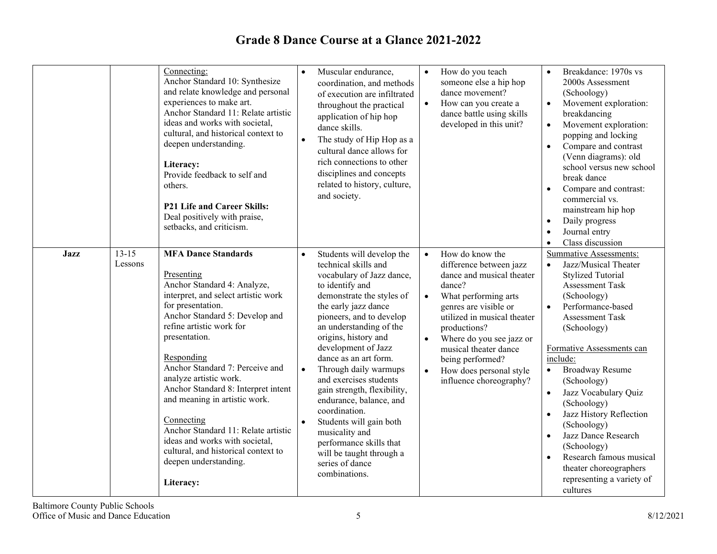| $13-15$                | Connecting:<br>Anchor Standard 10: Synthesize<br>and relate knowledge and personal<br>experiences to make art.<br>Anchor Standard 11: Relate artistic<br>ideas and works with societal,<br>cultural, and historical context to<br>deepen understanding.<br>Literacy:<br>Provide feedback to self and<br>others.<br>P21 Life and Career Skills:<br>Deal positively with praise,<br>setbacks, and criticism.<br><b>MFA Dance Standards</b>                                                                    | $\bullet$<br>$\bullet$ | Muscular endurance,<br>coordination, and methods<br>of execution are infiltrated<br>throughout the practical<br>application of hip hop<br>dance skills.<br>The study of Hip Hop as a<br>cultural dance allows for<br>rich connections to other<br>disciplines and concepts<br>related to history, culture,<br>and society.                                                                                                                                                                                                                                  | $\bullet$<br>$\bullet$              | How do you teach<br>someone else a hip hop<br>dance movement?<br>How can you create a<br>dance battle using skills<br>developed in this unit?                                                                                                                                                                    | $\bullet$<br>$\bullet$<br>$\bullet$<br>$\bullet$<br>$\bullet$<br>$\bullet$<br>$\bullet$ | Breakdance: 1970s vs<br>2000s Assessment<br>(Schoology)<br>Movement exploration:<br>breakdancing<br>Movement exploration:<br>popping and locking<br>Compare and contrast<br>(Venn diagrams): old<br>school versus new school<br>break dance<br>Compare and contrast:<br>commercial vs.<br>mainstream hip hop<br>Daily progress<br>Journal entry<br>Class discussion                                                                                                                             |
|------------------------|-------------------------------------------------------------------------------------------------------------------------------------------------------------------------------------------------------------------------------------------------------------------------------------------------------------------------------------------------------------------------------------------------------------------------------------------------------------------------------------------------------------|------------------------|-------------------------------------------------------------------------------------------------------------------------------------------------------------------------------------------------------------------------------------------------------------------------------------------------------------------------------------------------------------------------------------------------------------------------------------------------------------------------------------------------------------------------------------------------------------|-------------------------------------|------------------------------------------------------------------------------------------------------------------------------------------------------------------------------------------------------------------------------------------------------------------------------------------------------------------|-----------------------------------------------------------------------------------------|-------------------------------------------------------------------------------------------------------------------------------------------------------------------------------------------------------------------------------------------------------------------------------------------------------------------------------------------------------------------------------------------------------------------------------------------------------------------------------------------------|
| <b>Jazz</b><br>Lessons | Presenting<br>Anchor Standard 4: Analyze,<br>interpret, and select artistic work<br>for presentation.<br>Anchor Standard 5: Develop and<br>refine artistic work for<br>presentation.<br>Responding<br>Anchor Standard 7: Perceive and<br>analyze artistic work.<br>Anchor Standard 8: Interpret intent<br>and meaning in artistic work.<br>Connecting<br>Anchor Standard 11: Relate artistic<br>ideas and works with societal,<br>cultural, and historical context to<br>deepen understanding.<br>Literacy: | $\bullet$              | Students will develop the<br>technical skills and<br>vocabulary of Jazz dance,<br>to identify and<br>demonstrate the styles of<br>the early jazz dance<br>pioneers, and to develop<br>an understanding of the<br>origins, history and<br>development of Jazz<br>dance as an art form.<br>Through daily warmups<br>and exercises students<br>gain strength, flexibility,<br>endurance, balance, and<br>coordination.<br>Students will gain both<br>musicality and<br>performance skills that<br>will be taught through a<br>series of dance<br>combinations. | $\bullet$<br>$\bullet$<br>$\bullet$ | How do know the<br>difference between jazz<br>dance and musical theater<br>dance?<br>What performing arts<br>genres are visible or<br>utilized in musical theater<br>productions?<br>Where do you see jazz or<br>musical theater dance<br>being performed?<br>How does personal style<br>influence choreography? | $\bullet$<br>$\bullet$<br>$\bullet$<br>$\bullet$<br>$\bullet$                           | <b>Summative Assessments:</b><br>Jazz/Musical Theater<br><b>Stylized Tutorial</b><br><b>Assessment Task</b><br>(Schoology)<br>Performance-based<br><b>Assessment Task</b><br>(Schoology)<br>Formative Assessments can<br>include:<br><b>Broadway Resume</b><br>(Schoology)<br>Jazz Vocabulary Quiz<br>(Schoology)<br>Jazz History Reflection<br>(Schoology)<br>Jazz Dance Research<br>(Schoology)<br>Research famous musical<br>theater choreographers<br>representing a variety of<br>cultures |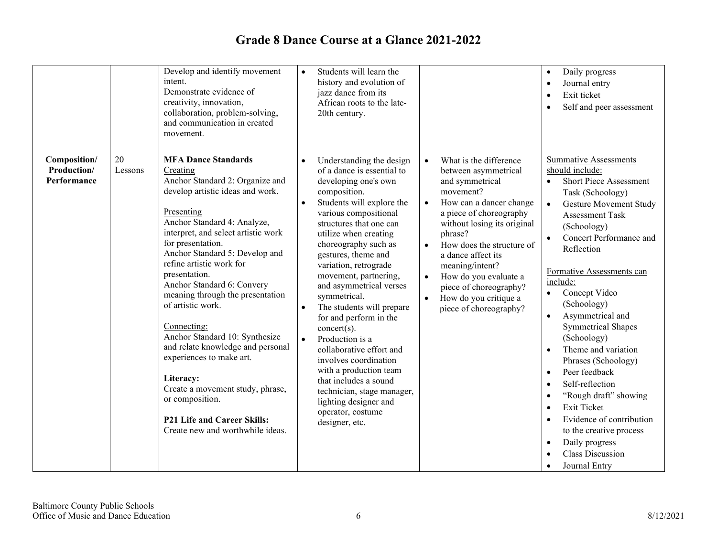|                                            |               | Develop and identify movement<br>intent.<br>Demonstrate evidence of<br>creativity, innovation,<br>collaboration, problem-solving,<br>and communication in created<br>movement.                                                                                                                                                                                                                                                                                                                                                                                                                                                                        | $\bullet$                                        | Students will learn the<br>history and evolution of<br>jazz dance from its<br>African roots to the late-<br>20th century.                                                                                                                                                                                                                                                                                                                                                                                                                                                                                                                              |                                                               |                                                                                                                                                                                                                                                                                                                                                            | $\bullet$<br>$\bullet$<br>$\bullet$<br>$\bullet$                                                                                                         | Daily progress<br>Journal entry<br>Exit ticket<br>Self and peer assessment                                                                                                                                                                                                                                                                                                                                                                                                                                                                                                                                      |
|--------------------------------------------|---------------|-------------------------------------------------------------------------------------------------------------------------------------------------------------------------------------------------------------------------------------------------------------------------------------------------------------------------------------------------------------------------------------------------------------------------------------------------------------------------------------------------------------------------------------------------------------------------------------------------------------------------------------------------------|--------------------------------------------------|--------------------------------------------------------------------------------------------------------------------------------------------------------------------------------------------------------------------------------------------------------------------------------------------------------------------------------------------------------------------------------------------------------------------------------------------------------------------------------------------------------------------------------------------------------------------------------------------------------------------------------------------------------|---------------------------------------------------------------|------------------------------------------------------------------------------------------------------------------------------------------------------------------------------------------------------------------------------------------------------------------------------------------------------------------------------------------------------------|----------------------------------------------------------------------------------------------------------------------------------------------------------|-----------------------------------------------------------------------------------------------------------------------------------------------------------------------------------------------------------------------------------------------------------------------------------------------------------------------------------------------------------------------------------------------------------------------------------------------------------------------------------------------------------------------------------------------------------------------------------------------------------------|
| Composition/<br>Production/<br>Performance | 20<br>Lessons | <b>MFA Dance Standards</b><br>Creating<br>Anchor Standard 2: Organize and<br>develop artistic ideas and work.<br>Presenting<br>Anchor Standard 4: Analyze,<br>interpret, and select artistic work<br>for presentation.<br>Anchor Standard 5: Develop and<br>refine artistic work for<br>presentation.<br>Anchor Standard 6: Convery<br>meaning through the presentation<br>of artistic work.<br>Connecting:<br>Anchor Standard 10: Synthesize<br>and relate knowledge and personal<br>experiences to make art.<br>Literacy:<br>Create a movement study, phrase,<br>or composition.<br>P21 Life and Career Skills:<br>Create new and worthwhile ideas. | $\bullet$<br>$\bullet$<br>$\bullet$<br>$\bullet$ | Understanding the design<br>of a dance is essential to<br>developing one's own<br>composition.<br>Students will explore the<br>various compositional<br>structures that one can<br>utilize when creating<br>choreography such as<br>gestures, theme and<br>variation, retrograde<br>movement, partnering,<br>and asymmetrical verses<br>symmetrical.<br>The students will prepare<br>for and perform in the<br>$concert(s)$ .<br>Production is a<br>collaborative effort and<br>involves coordination<br>with a production team<br>that includes a sound<br>technician, stage manager,<br>lighting designer and<br>operator, costume<br>designer, etc. | $\bullet$<br>$\bullet$<br>$\bullet$<br>$\bullet$<br>$\bullet$ | What is the difference<br>between asymmetrical<br>and symmetrical<br>movement?<br>How can a dancer change<br>a piece of choreography<br>without losing its original<br>phrase?<br>How does the structure of<br>a dance affect its<br>meaning/intent?<br>How do you evaluate a<br>piece of choreography?<br>How do you critique a<br>piece of choreography? | $\bullet$<br>$\bullet$<br>$\bullet$<br>$\bullet$<br>$\bullet$<br>$\bullet$<br>$\bullet$<br>$\bullet$<br>$\bullet$<br>$\bullet$<br>$\bullet$<br>$\bullet$ | <b>Summative Assessments</b><br>should include:<br><b>Short Piece Assessment</b><br>Task (Schoology)<br>Gesture Movement Study<br><b>Assessment Task</b><br>(Schoology)<br>Concert Performance and<br>Reflection<br>Formative Assessments can<br>include:<br>Concept Video<br>(Schoology)<br>Asymmetrical and<br><b>Symmetrical Shapes</b><br>(Schoology)<br>Theme and variation<br>Phrases (Schoology)<br>Peer feedback<br>Self-reflection<br>"Rough draft" showing<br><b>Exit Ticket</b><br>Evidence of contribution<br>to the creative process<br>Daily progress<br><b>Class Discussion</b><br>Journal Entry |